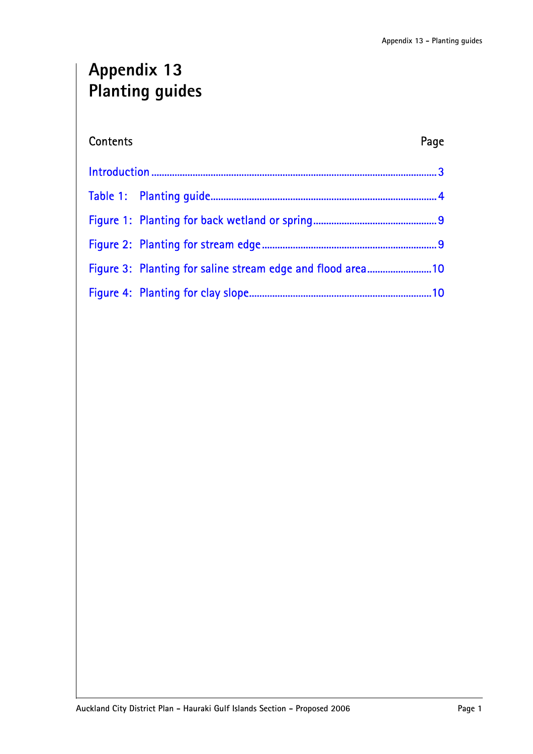## **Appendix 13 Planting guides**

| <b>Contents</b> | Page |
|-----------------|------|
|                 |      |
|                 |      |
|                 |      |
|                 |      |
|                 |      |
|                 | 10   |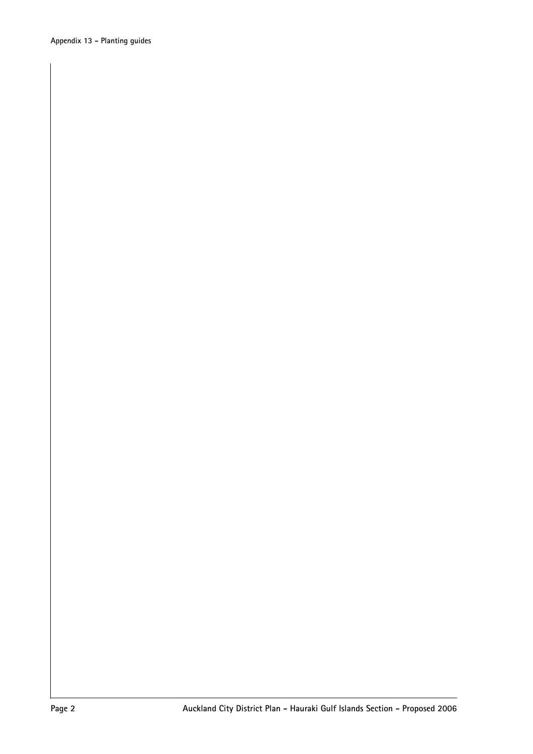**Appendix 13 - Planting guides**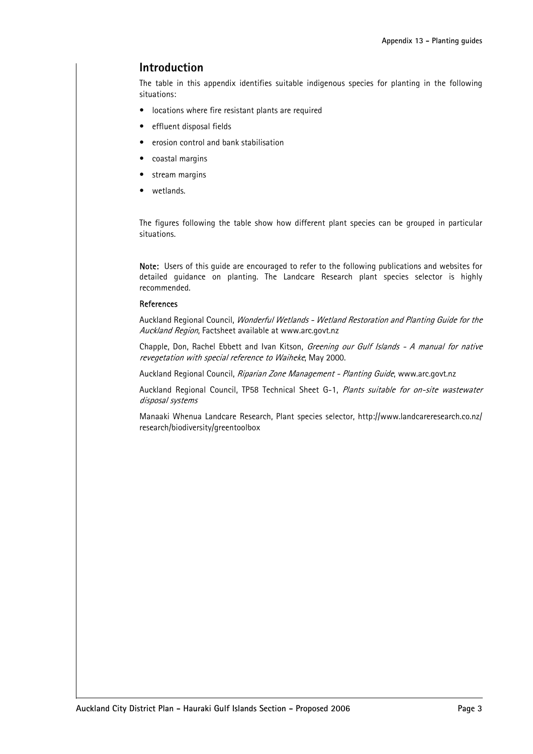## <span id="page-2-0"></span>**Introduction**

The table in this appendix identifies suitable indigenous species for planting in the following situations:

- locations where fire resistant plants are required
- effluent disposal fields
- erosion control and bank stabilisation
- coastal margins
- stream margins
- wetlands.

The figures following the table show how different plant species can be grouped in particular situations.

Note: Users of this quide are encouraged to refer to the following publications and websites for detailed guidance on planting. The Landcare Research plant species selector is highly recommended.

## References

Auckland Regional Council, Wonderful Wetlands - Wetland Restoration and Planting Guide for the Auckland Region, Factsheet available at www.arc.govt.nz

Chapple, Don, Rachel Ebbett and Ivan Kitson, Greening our Gulf Islands - A manual for native revegetation with special reference to Waiheke, May 2000.

Auckland Regional Council, Riparian Zone Management - Planting Guide, www.arc.govt.nz

Auckland Regional Council, TP58 Technical Sheet G-1, Plants suitable for on-site wastewater disposal systems

Manaaki Whenua Landcare Research, Plant species selector, http://www.landcareresearch.co.nz/ research/biodiversity/greentoolbox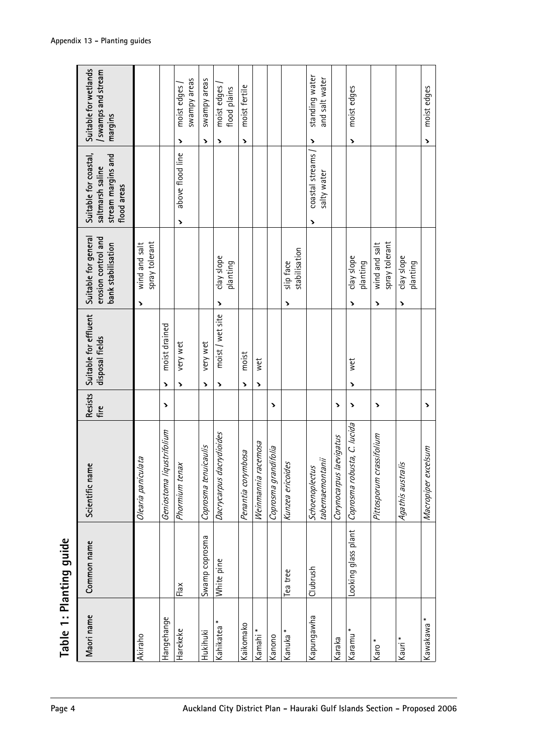| Maori name        | Common name         | U<br>Scientific nam                | Resists<br>fire       | Suitable for effluent<br>disposal fields | Suitable for general<br>erosion control and              | Suitable for coastal,<br>saltmarsh saline | Suitable for wetlands<br>swamps and stream |
|-------------------|---------------------|------------------------------------|-----------------------|------------------------------------------|----------------------------------------------------------|-------------------------------------------|--------------------------------------------|
|                   |                     |                                    |                       |                                          | bank stabilisation                                       | stream margins and<br>flood areas         | margins                                    |
| Akiraho           |                     | Olearia paniculata                 |                       |                                          | spray tolerant<br>wind and salt<br>$\blacktriangleright$ |                                           |                                            |
| Hangehange        |                     | Geniostoma liqustrifolium          | $\blacktriangleright$ | moist drained<br>>                       |                                                          |                                           |                                            |
| Harekeke          | Flax                | Phormium tenax                     |                       | very wet<br>>                            |                                                          | above flood line<br>>                     | swampy areas<br>moist edges<br>`           |
| Hukihuki          | Swamp coprosma      | Coprosma tenuicaulis               |                       | very wet<br>>                            |                                                          |                                           | swampy areas<br>7                          |
| Kahikatea         | White pine          | Dacrycarpus dacrydioides           |                       | moist / wet site<br>>                    | clay slope<br>planting<br>$\blacktriangleright$          |                                           | moist edges<br>flood plains<br>>           |
| Kaikomako         |                     | Penantia corymbosa                 |                       | moist<br>>                               |                                                          |                                           | moist fertile<br>$\blacktriangleright$     |
| kamahi*           |                     | Weinmannia racemosa                |                       | wet<br>>                                 |                                                          |                                           |                                            |
| Kanono            |                     | Coprosma grandifolia               | ,                     |                                          |                                                          |                                           |                                            |
| Kanuka            | Tea tree            | Kunzea ericoides                   |                       |                                          | stabilisation<br>slip face<br>$\blacktriangleright$      |                                           |                                            |
| Kapungawha        | Clubrush            | tabernaemontanii<br>Schoenoplectus |                       |                                          |                                                          | coastal streams<br>salty water<br>>       | standing water<br>and salt water<br>>      |
| Karaka            |                     | Corynocarpus laevigatus            | >                     |                                          |                                                          |                                           |                                            |
| Karamu            | Looking glass plant | Coprosma robusta, C. lucida        | $\blacktriangleright$ | wet<br>>                                 | clay slope<br>planting<br>`                              |                                           | moist edges<br>\                           |
| Karo <sup>*</sup> |                     | Pittosporum crassifolium           | >                     |                                          | spray tolerant<br>wind and salt<br>>                     |                                           |                                            |
| Kauri             |                     | Š,<br>Agathis austral              |                       |                                          | clay slope<br>planting<br>$\blacktriangleright$          |                                           |                                            |
| Kawakawa          |                     | Macropiper excelsum                | >                     |                                          |                                                          |                                           | moist edges<br>7                           |

<span id="page-3-0"></span>**Appendix 13 - Planting guides**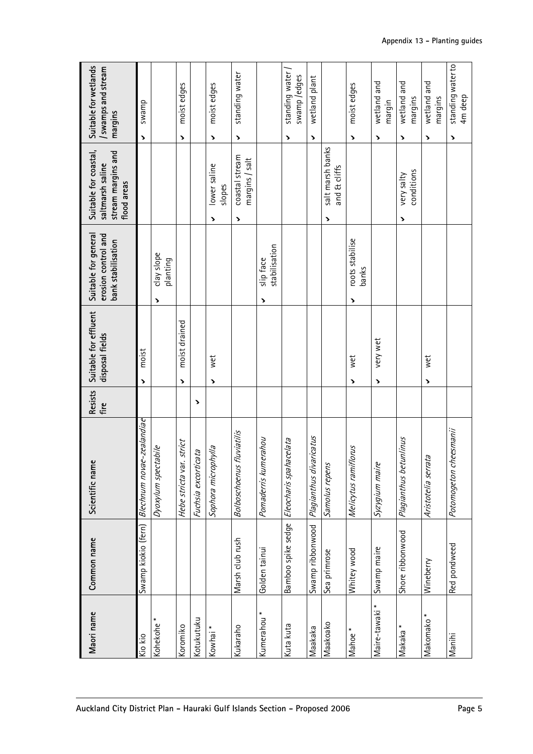| Maori name          | Common name         | Φ<br>Scientific nam                 | Resists<br>fire | Suitable for effluent<br>disposal fields | Suitable for general<br>erosion control and<br>bank stabilisation | Suitable for coastal,<br>stream margins and<br>saltmarsh saline<br>flood areas | Suitable for wetlands<br>swamps and stream<br>margins |
|---------------------|---------------------|-------------------------------------|-----------------|------------------------------------------|-------------------------------------------------------------------|--------------------------------------------------------------------------------|-------------------------------------------------------|
| Kio kio             | Swamp kiokio (fern) | Blechnum novae-zealandiae           |                 | moist<br>>                               |                                                                   |                                                                                | duvews<br>>                                           |
| Kohekohe            |                     | Dyoxylum spectabile                 |                 |                                          | clay slope<br>planting<br>>                                       |                                                                                |                                                       |
| Koromiko            |                     | Hebe stricta var. strict            |                 | moist drained<br>`                       |                                                                   |                                                                                | moist edges<br>>                                      |
| Kotukutuku          |                     | Fuchsia excorticata                 | >               |                                          |                                                                   |                                                                                |                                                       |
| Kowhai <sup>*</sup> |                     | Sophora microphylla                 |                 | wet<br>>                                 |                                                                   | lower saline<br>slopes<br>>                                                    | moist edges<br>>                                      |
| Kukaraho            | Marsh club rush     | fluviatilis<br><b>Bolboschoenus</b> |                 |                                          |                                                                   | coastal stream<br>margins / salt<br>>                                          | standing water<br>$\blacktriangleright$               |
| Kumerahou *         | Golden tainui       | Pomaderris kumerahou                |                 |                                          | stabilisation<br>slip face<br>>                                   |                                                                                |                                                       |
| Kuta kuta           | Bamboo spike sedge  | Eleocharis spahacelata              |                 |                                          |                                                                   |                                                                                | standing water<br>swamp/edges<br>>                    |
| Maakaka             | Swamp ribbonwood    | Plagianthus divaricatus             |                 |                                          |                                                                   |                                                                                | wetland plant<br>$\blacktriangleright$                |
| Maakoako            | Sea primrose        | Samolus repens                      |                 |                                          |                                                                   | salt marsh banks<br>and & cliffs<br>>                                          |                                                       |
| Mahoe <sup>*</sup>  | Whitey wood         | Melicytus ramiflorus                |                 | wet<br>>                                 | roots stabilise<br>banks<br>>                                     |                                                                                | moist edges<br>>                                      |
| Maire-tawaki*       | Swamp maire         | Syzygium maire                      |                 | very wet<br>>                            |                                                                   |                                                                                | wetland and<br>margin<br>>                            |
| Makaka *            | Shore ribbonwood    | Plagianthus betunlinus              |                 |                                          |                                                                   | conditions<br>very salty<br>>                                                  | wetland and<br>margins<br>>                           |
| Makomako*           | Wineberry           | Aristotelia serrata                 |                 | wet<br>7                                 |                                                                   |                                                                                | wetland and<br>margins<br>>                           |
| Manihi              | Red pondweed        | Potomogeton cheesmanii              |                 |                                          |                                                                   |                                                                                | standing water to<br>4m deep<br>>                     |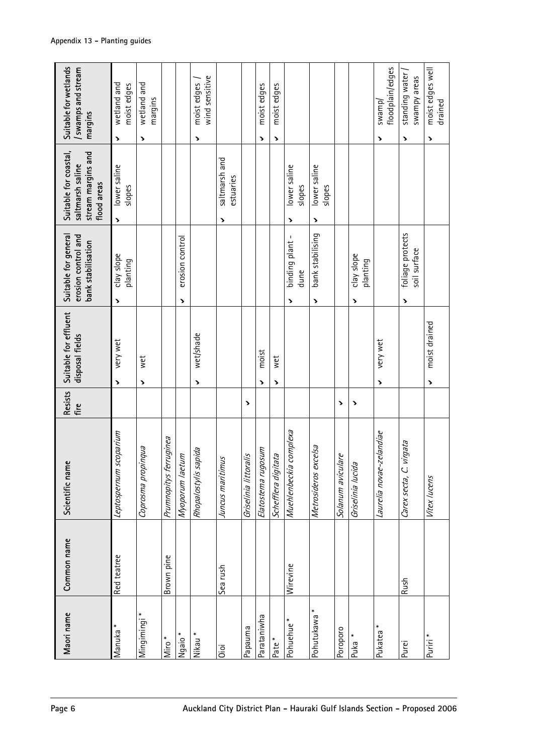| Suitable for wetlands<br>swamps and stream<br>margins                          | wetland and<br>moist edges  | wetland and<br>margins |                        |                      | wind sensitive<br>moist edges |                                 |                       | moist edges        | moist edges           |                              |                             |                   |                             | swamp/<br>floodplain/edges        | standing water /<br>swampy areas      | moist edges well<br>drained |
|--------------------------------------------------------------------------------|-----------------------------|------------------------|------------------------|----------------------|-------------------------------|---------------------------------|-----------------------|--------------------|-----------------------|------------------------------|-----------------------------|-------------------|-----------------------------|-----------------------------------|---------------------------------------|-----------------------------|
|                                                                                | >                           | >                      |                        |                      | >                             |                                 |                       | >                  | $\blacktriangleright$ |                              |                             |                   |                             | $\blacktriangleright$             | >                                     | >                           |
| Suitable for coastal,<br>stream margins and<br>saltmarsh saline<br>flood areas | lower saline<br>slopes<br>> |                        |                        |                      |                               | saltmarsh and<br>estuaries<br>> |                       |                    |                       | lower saline<br>slopes<br>>  | lower saline<br>slopes<br>> |                   |                             |                                   |                                       |                             |
| Suitable for general<br>erosion control and<br>bank stabilisation              | clay slope<br>planting<br>> |                        |                        | erosion control<br>> |                               |                                 |                       |                    |                       | binding plant -<br>dune<br>> | bank stabilising<br>>       |                   | clay slope<br>planting<br>> |                                   | foliage protects<br>soil surface<br>> |                             |
| Suitable for effluent<br>disposal fields                                       | very wet<br>↘               | wet<br>,               |                        |                      | wet/shade<br>>                |                                 |                       | moist<br>>         | wet<br>7              |                              |                             |                   |                             | very wet<br>$\blacktriangleright$ |                                       | moist drained<br>>          |
| Resists<br>fire                                                                |                             |                        |                        |                      |                               |                                 | >                     |                    |                       |                              |                             | >                 | >                           |                                   |                                       |                             |
| Scientific name                                                                | scoparium<br>Leptospernum   | Coprosma propinqua     | Prumnopitys ferruginea | Myoporum laetum      | Rhopalostylis sapida          | Juncus maritimus                | Griselinia littoralis | Elatostema rugosum | Schefflera digitata   | Muehlenbeckia complexa       | Metrosideros excelsa        | Solanum aviculare | Griselinia lucida           | Laurelia novae-zelandiae          | rigata<br>Carex secta, C.             | Vitex lucens                |
| Common name                                                                    | Red teatree                 |                        | Brown pine             |                      |                               | Sea rush                        |                       |                    |                       | Wirevine                     |                             |                   |                             |                                   | Rush                                  |                             |
| Maori name                                                                     | Manuka                      | Mingimingi             | Miro*                  | Ngaio *              | Nikau *                       | Oioi                            | Papauma               | Parataniwha        | Pate <sup>*</sup>     | Pohuehue*                    | Pohutukawa                  | Poroporo          | Puka                        | Pukatea                           | Purei                                 | Puriri <sup>*</sup>         |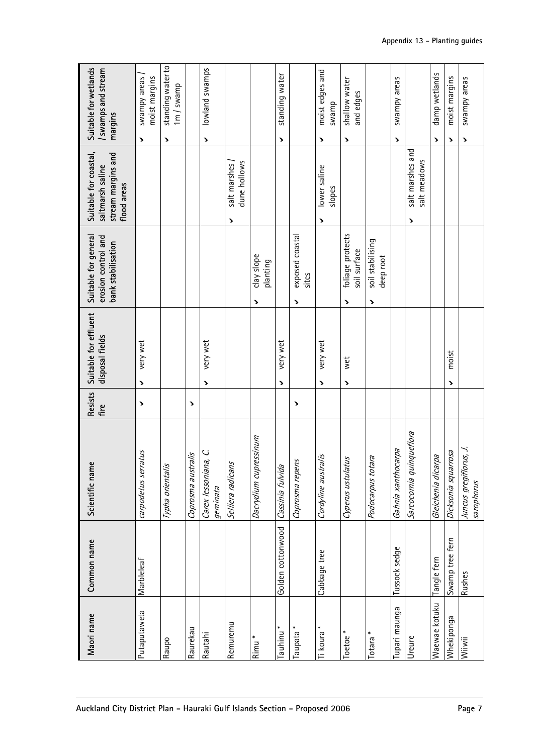| Suitable for wetlands<br>swamps and stream<br>margins                          | swampy areas<br>moist margins | standing water to<br>1m/swamp |                         | lowland swamps                   |                                   |                             | standing water        |                               | moist edges and<br>swamp    | shallow water<br>and edges            |                                                        | swampy areas       |                                       | damp wetlands      | moist margins                  | swampy areas                        |
|--------------------------------------------------------------------------------|-------------------------------|-------------------------------|-------------------------|----------------------------------|-----------------------------------|-----------------------------|-----------------------|-------------------------------|-----------------------------|---------------------------------------|--------------------------------------------------------|--------------------|---------------------------------------|--------------------|--------------------------------|-------------------------------------|
|                                                                                | >                             | >                             |                         | $\overline{\phantom{a}}$         |                                   |                             | $\blacktriangleright$ |                               | >                           | >                                     |                                                        | 7                  |                                       | ↘                  | >                              | $\blacktriangleright$               |
| Suitable for coastal,<br>stream margins and<br>saltmarsh saline<br>flood areas |                               |                               |                         |                                  | dune hollows<br>salt marshes<br>> |                             |                       |                               | lower saline<br>slopes<br>> |                                       |                                                        |                    | salt marshes and<br>salt meadows<br>> |                    |                                |                                     |
| Suitable for general<br>erosion control and<br>bank stabilisation              |                               |                               |                         |                                  |                                   | clay slope<br>planting<br>7 |                       | exposed coastal<br>sites<br>\ |                             | foliage protects<br>soil surface<br>> | soil stabilising<br>deep root<br>$\blacktriangleright$ |                    |                                       |                    |                                |                                     |
| Suitable for effluent<br>disposal fields                                       | very wet<br>>                 |                               |                         | very wet<br>>                    |                                   |                             | very wet<br>>         |                               | very wet<br>>               | wet<br>>                              |                                                        |                    |                                       |                    | moist<br>7                     |                                     |
| <b>Resists</b><br>fire                                                         | >                             |                               | >                       |                                  |                                   |                             |                       | >                             |                             |                                       |                                                        |                    |                                       |                    |                                |                                     |
| Scientific name                                                                | carpodetus serratus           | Typha orientalis              | sile.<br>Coprosma austi | Carex lessoniana, C.<br>geminata | Selliera radicans                 | Dacrydium cupressinum       | Cassinia fulvida      | Coprosma repens               | Cordyline australis         | Cyperus ustulatus                     | Podocarpus totara                                      | Gahnia xanthocarpa | Sarcocornia quinqueflora              | Gleichenia dicarpa | <b>PSOJ</b><br>Dicksonia squar | Juncus gregiflorus, J<br>sarophorus |
| Common name                                                                    | Marbleleaf                    |                               |                         |                                  |                                   |                             | Golden cottonwood     |                               | Cabbage tree                |                                       |                                                        | Tussock sedge      |                                       | Tangle fem         | Swamp tree fern                | Rushes                              |
| Maori name                                                                     | Putaputaweta                  | Raupo                         | Raurekau                | Rautahi                          | Remuremu                          | Rimu                        | Tauhinu               | Taupata *                     | Ti koura                    | Toetoe <sup>+</sup>                   | Totara <sup>+</sup>                                    | Tupari maunga      | Ureure                                | Waewae kotuku      | Whekiponga                     | Wiiwii                              |
| Auckland City District Plan - Hauraki Gulf Islands Section - Proposed 2006     |                               |                               |                         |                                  |                                   |                             |                       |                               |                             |                                       |                                                        |                    |                                       |                    |                                | Page 7                              |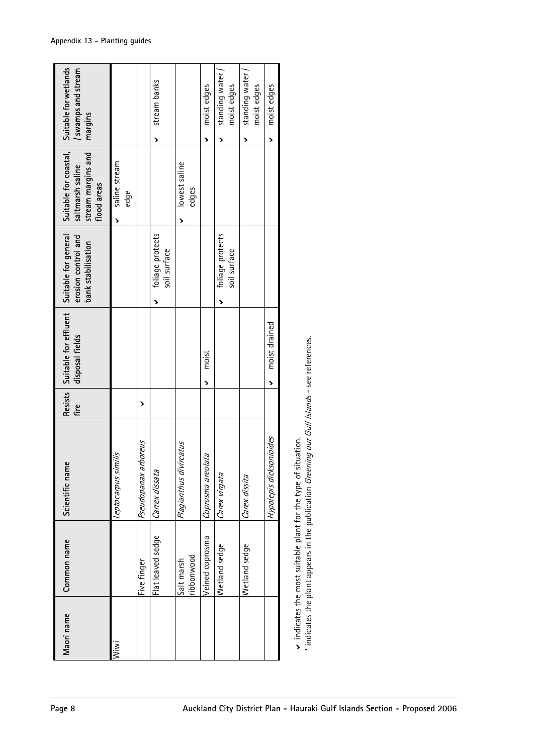| Maori name | Common name              | ັ<br>Scientific nam     | <b>Resists</b><br>fire | Suitable for effluent<br>disposal fields | Suitable for general<br>erosion control and<br>bank stabilisation | Suitable for coastal,<br>stream margins and<br>saltmarsh saline<br>flood areas | Suitable for wetlands<br>swamps and stream<br>margins      |
|------------|--------------------------|-------------------------|------------------------|------------------------------------------|-------------------------------------------------------------------|--------------------------------------------------------------------------------|------------------------------------------------------------|
| Viwi       |                          | Leptocarpus similis     |                        |                                          |                                                                   | saline stream<br>edge<br>\                                                     |                                                            |
|            | Five finger              | Pseudopanax arboreus    |                        |                                          |                                                                   |                                                                                |                                                            |
|            | Flat leaved sedge        | Carrex dissata          |                        |                                          | foliage protects<br>soil surface                                  |                                                                                | stream banks<br>↘                                          |
|            | ribbonwood<br>Salt marsh | Plagianthus divircatus  |                        |                                          |                                                                   | lowest saline<br>edges<br>$\overline{\phantom{0}}$                             |                                                            |
|            | Veined coprosma          | lata<br>Coprosma areo   |                        | moist<br>>                               |                                                                   |                                                                                | moist edges<br>↘                                           |
|            | Wetland sedge            | Carex virgata           |                        |                                          | foliage protects<br>soil surface<br>↘                             |                                                                                | standing water<br>moist edges<br>↘                         |
|            | Wetland sedge            | Carex dissita           |                        |                                          |                                                                   |                                                                                | standing water/<br>moist edges<br>$\overline{\phantom{a}}$ |
|            |                          | Hypolepis dicksonioides |                        | moist drained<br>↘                       |                                                                   |                                                                                | moist edges<br>$\overline{\phantom{0}}$                    |
|            |                          |                         |                        |                                          |                                                                   |                                                                                |                                                            |

v indicates the most suitable plant for the type of situation.<br>\* indicates the plant appears in the publication *Greening our Gulf Islands* - see references. \* indicates the plant appears in the publication Greening our Gulf Islands - see references.  $\boldsymbol{\nu}$  indicates the most suitable plant for the type of situation.

**Appendix 13 - Planting guides**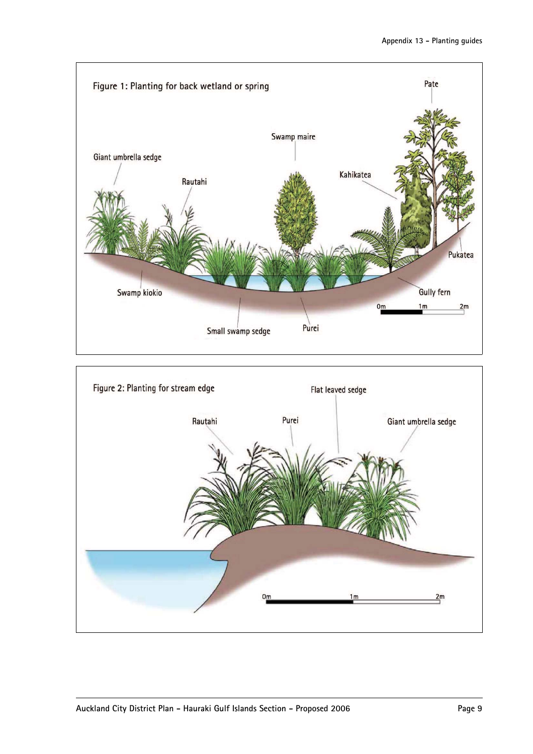<span id="page-8-0"></span>